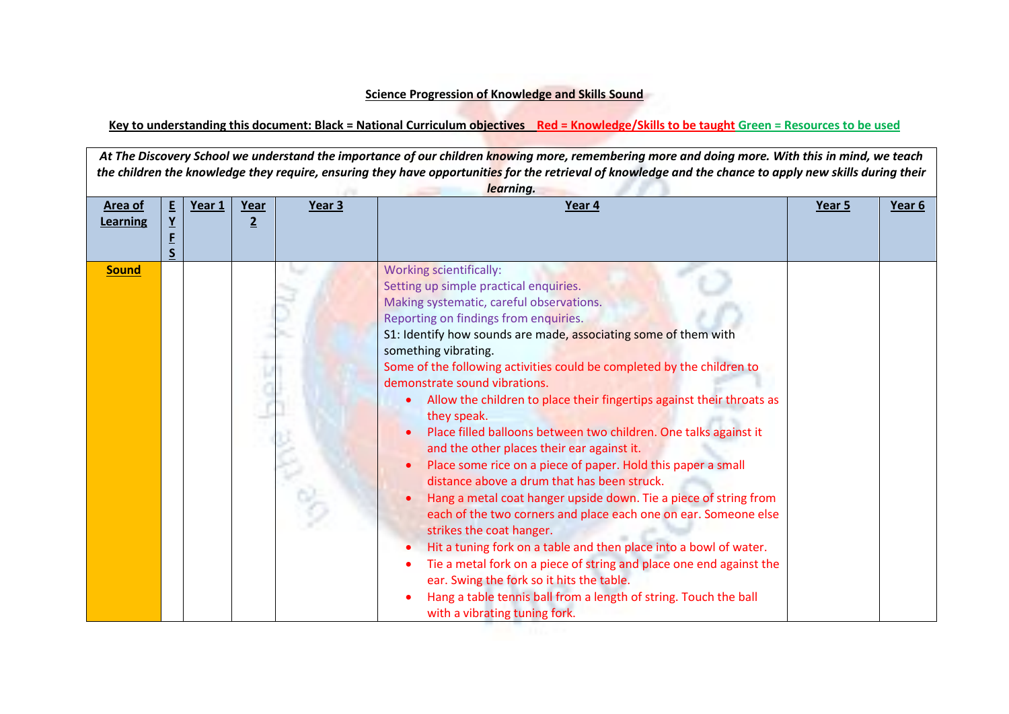## **Science Progression of Knowledge and Skills Sound**

## **Key to understanding this document: Black = National Curriculum objectives Red = Knowledge/Skills to be taught Green = Resources to be used**

*At The Discovery School we understand the importance of our children knowing more, remembering more and doing more. With this in mind, we teach the children the knowledge they require, ensuring they have opportunities for the retrieval of knowledge and the chance to apply new skills during their learning.* **Area of Learning E Y F S Year 1 Year 2 Year 3 Year 4 Year 5 Year 6 Sound Working scientifically:** Setting up simple practical enquiries. Making systematic, careful observations. Reporting on findings from enquiries. S1: Identify how sounds are made, associating some of them with something vibrating. Some of the following activities could be completed by the children to demonstrate sound vibrations. Allow the children to place their fingertips against their throats as they speak. Place filled balloons between two children. One talks against it and the other places their ear against it. Place some rice on a piece of paper. Hold this paper a small distance above a drum that has been struck. Hang a metal coat hanger upside down. Tie a piece of string from each of the two corners and place each one on ear. Someone else strikes the coat hanger. Hit a tuning fork on a table and then place into a bowl of water. Tie a metal fork on a piece of string and place one end against the ear. Swing the fork so it hits the table. Hang a table tennis ball from a length of string. Touch the ball with a vibrating tuning fork.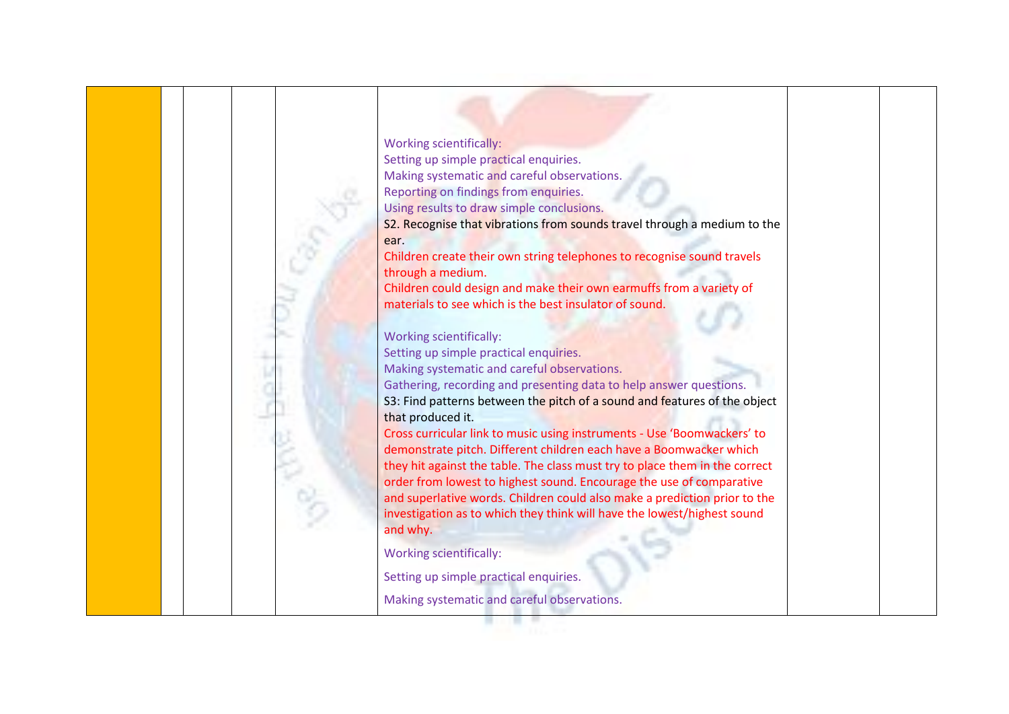



Setting up simple practical enquiries.

Making systematic and careful observations.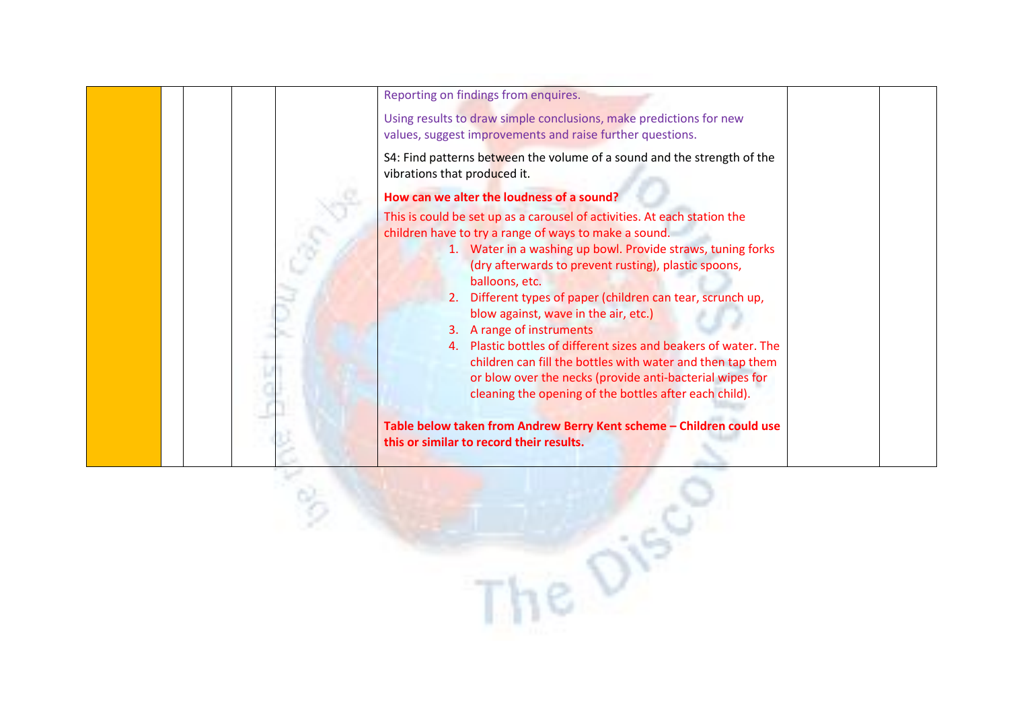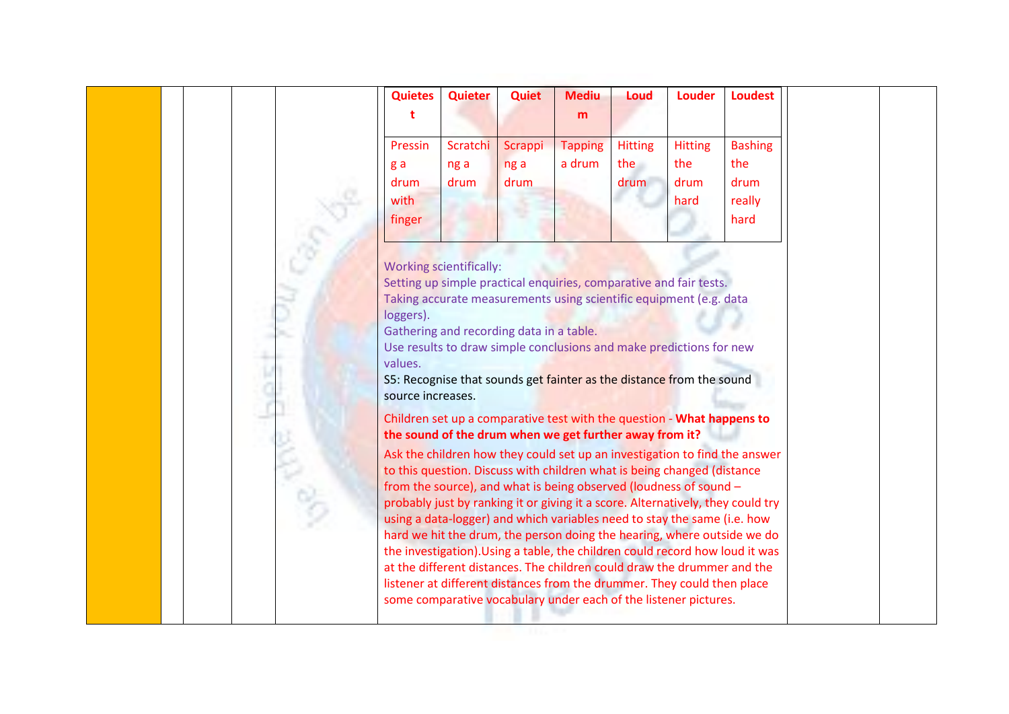| <b>Quietes</b> | <b>Quieter</b> | <b>Quiet</b> | <b>Mediu</b>   | <b>Loud</b>    | <b>Louder</b>  | <b>Loudest</b> |
|----------------|----------------|--------------|----------------|----------------|----------------|----------------|
|                |                |              | m              |                |                |                |
| Pressin        | Scratchi       | Scrappi      | <b>Tapping</b> | <b>Hitting</b> | <b>Hitting</b> | <b>Bashing</b> |
| g a            | ng a           | ng a         | a drum         | the            | the            | the            |
| drum           | drum           | drum         |                | drum           | drum           | drum           |
| with           |                |              |                |                | hard           | really         |
| finger         |                |              |                |                |                | hard           |
|                |                |              |                |                |                |                |

Working scientifically:

Setting up simple practical enquiries, comparative and fair tests. Taking accurate measurements using scientific equipment (e.g. data loggers).

Gathering and recording data in a table.

Use results to draw simple conclusions and make predictions for new values.

S5: Recognise that sounds get fainter as the distance from the sound source increases.

Children set up a comparative test with the question - **What happens to the sound of the drum when we get further away from it?**

Ask the children how they could set up an investigation to find the answer to this question. Discuss with children what is being changed (distance from the source), and what is being observed (loudness of sound – probably just by ranking it or giving it a score. Alternatively, they could try using a data-logger) and which variables need to stay the same (i.e. how hard we hit the drum, the person doing the hearing, where outside we do the investigation).Using a table, the children could record how loud it was at the different distances. The children could draw the drummer and the listener at different distances from the drummer. They could then place some comparative vocabulary under each of the listener pictures.